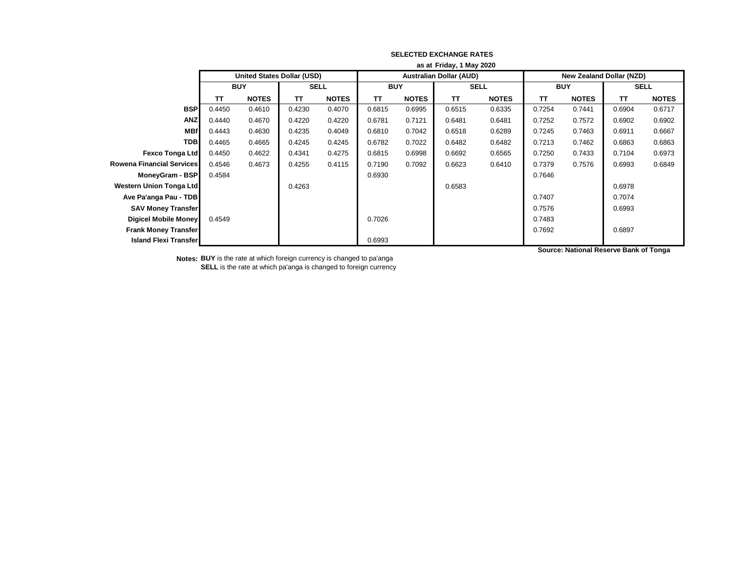|                                  | as at Friday, 1 May 2020 |                                   |             |              |            |              |                                |              |                                 |              |                                        |              |
|----------------------------------|--------------------------|-----------------------------------|-------------|--------------|------------|--------------|--------------------------------|--------------|---------------------------------|--------------|----------------------------------------|--------------|
|                                  |                          | <b>United States Dollar (USD)</b> |             |              |            |              | <b>Australian Dollar (AUD)</b> |              | <b>New Zealand Dollar (NZD)</b> |              |                                        |              |
|                                  | <b>BUY</b>               |                                   | <b>SELL</b> |              | <b>BUY</b> |              | <b>SELL</b>                    |              | <b>BUY</b>                      |              |                                        | <b>SELL</b>  |
|                                  | TT                       | <b>NOTES</b>                      | TT          | <b>NOTES</b> | <b>TT</b>  | <b>NOTES</b> | TT                             | <b>NOTES</b> | TΤ                              | <b>NOTES</b> | TT                                     | <b>NOTES</b> |
| <b>BSP</b>                       | 0.4450                   | 0.4610                            | 0.4230      | 0.4070       | 0.6815     | 0.6995       | 0.6515                         | 0.6335       | 0.7254                          | 0.7441       | 0.6904                                 | 0.6717       |
| <b>ANZ</b>                       | 0.4440                   | 0.4670                            | 0.4220      | 0.4220       | 0.6781     | 0.7121       | 0.6481                         | 0.6481       | 0.7252                          | 0.7572       | 0.6902                                 | 0.6902       |
| <b>MBf</b>                       | 0.4443                   | 0.4630                            | 0.4235      | 0.4049       | 0.6810     | 0.7042       | 0.6518                         | 0.6289       | 0.7245                          | 0.7463       | 0.6911                                 | 0.6667       |
| <b>TDB</b>                       | 0.4465                   | 0.4665                            | 0.4245      | 0.4245       | 0.6782     | 0.7022       | 0.6482                         | 0.6482       | 0.7213                          | 0.7462       | 0.6863                                 | 0.6863       |
| <b>Fexco Tonga Ltd</b>           | 0.4450                   | 0.4622                            | 0.4341      | 0.4275       | 0.6815     | 0.6998       | 0.6692                         | 0.6565       | 0.7250                          | 0.7433       | 0.7104                                 | 0.6973       |
| <b>Rowena Financial Services</b> | 0.4546                   | 0.4673                            | 0.4255      | 0.4115       | 0.7190     | 0.7092       | 0.6623                         | 0.6410       | 0.7379                          | 0.7576       | 0.6993                                 | 0.6849       |
| MoneyGram - BSP                  | 0.4584                   |                                   |             |              | 0.6930     |              |                                |              | 0.7646                          |              |                                        |              |
| Western Union Tonga Ltd          |                          |                                   | 0.4263      |              |            |              | 0.6583                         |              |                                 |              | 0.6978                                 |              |
| Ave Pa'anga Pau - TDB            |                          |                                   |             |              |            |              |                                |              | 0.7407                          |              | 0.7074                                 |              |
| <b>SAV Money Transfer</b>        |                          |                                   |             |              |            |              |                                |              | 0.7576                          |              | 0.6993                                 |              |
| Digicel Mobile Money             | 0.4549                   |                                   |             |              | 0.7026     |              |                                |              | 0.7483                          |              |                                        |              |
| <b>Frank Money Transfer</b>      |                          |                                   |             |              |            |              |                                |              | 0.7692                          |              | 0.6897                                 |              |
| <b>Island Flexi Transfer</b>     |                          |                                   |             |              | 0.6993     |              |                                |              |                                 |              |                                        |              |
|                                  |                          |                                   |             |              |            |              |                                |              |                                 |              | Source: National Reserve Bank of Tonga |              |

**Notes: BUY** is the rate at which foreign currency is changed to pa'anga **SELL** is the rate at which pa'anga is changed to foreign currency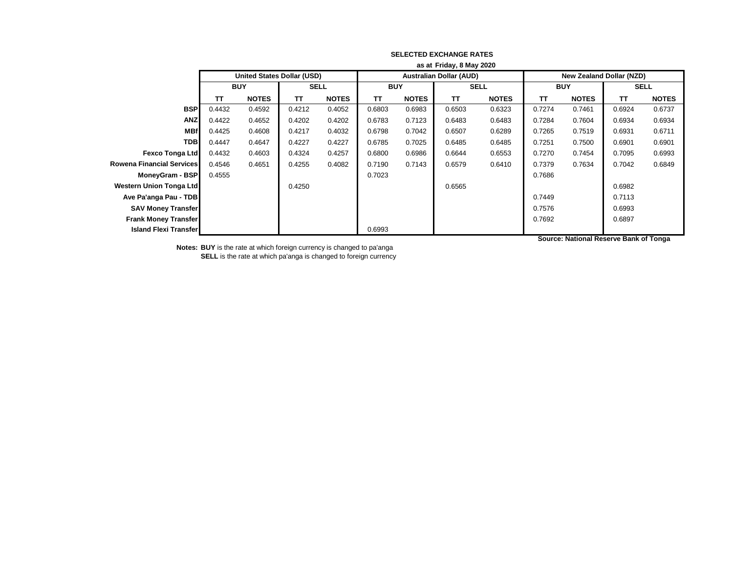|                                  | as at Friday, 8 May 2020 |                                   |             |              |            |              |                                |              |                                 |              |           |              |  |
|----------------------------------|--------------------------|-----------------------------------|-------------|--------------|------------|--------------|--------------------------------|--------------|---------------------------------|--------------|-----------|--------------|--|
|                                  |                          | <b>United States Dollar (USD)</b> |             |              |            |              | <b>Australian Dollar (AUD)</b> |              | <b>New Zealand Dollar (NZD)</b> |              |           |              |  |
|                                  | <b>BUY</b>               |                                   | <b>SELL</b> |              | <b>BUY</b> |              | <b>SELL</b>                    |              | <b>BUY</b>                      |              |           | <b>SELL</b>  |  |
|                                  | TΤ                       | <b>NOTES</b>                      | TΤ          | <b>NOTES</b> | TΤ         | <b>NOTES</b> | TΤ                             | <b>NOTES</b> | TT.                             | <b>NOTES</b> | <b>TT</b> | <b>NOTES</b> |  |
| <b>BSP</b>                       | 0.4432                   | 0.4592                            | 0.4212      | 0.4052       | 0.6803     | 0.6983       | 0.6503                         | 0.6323       | 0.7274                          | 0.7461       | 0.6924    | 0.6737       |  |
| <b>ANZ</b>                       | 0.4422                   | 0.4652                            | 0.4202      | 0.4202       | 0.6783     | 0.7123       | 0.6483                         | 0.6483       | 0.7284                          | 0.7604       | 0.6934    | 0.6934       |  |
| <b>MBf</b>                       | 0.4425                   | 0.4608                            | 0.4217      | 0.4032       | 0.6798     | 0.7042       | 0.6507                         | 0.6289       | 0.7265                          | 0.7519       | 0.6931    | 0.6711       |  |
| <b>TDB</b>                       | 0.4447                   | 0.4647                            | 0.4227      | 0.4227       | 0.6785     | 0.7025       | 0.6485                         | 0.6485       | 0.7251                          | 0.7500       | 0.6901    | 0.6901       |  |
| Fexco Tonga Ltd                  | 0.4432                   | 0.4603                            | 0.4324      | 0.4257       | 0.6800     | 0.6986       | 0.6644                         | 0.6553       | 0.7270                          | 0.7454       | 0.7095    | 0.6993       |  |
| <b>Rowena Financial Services</b> | 0.4546                   | 0.4651                            | 0.4255      | 0.4082       | 0.7190     | 0.7143       | 0.6579                         | 0.6410       | 0.7379                          | 0.7634       | 0.7042    | 0.6849       |  |
| <b>MoneyGram - BSP</b>           | 0.4555                   |                                   |             |              | 0.7023     |              |                                |              | 0.7686                          |              |           |              |  |
| <b>Western Union Tonga Ltd</b>   |                          |                                   | 0.4250      |              |            |              | 0.6565                         |              |                                 |              | 0.6982    |              |  |
| Ave Pa'anga Pau - TDB            |                          |                                   |             |              |            |              |                                |              | 0.7449                          |              | 0.7113    |              |  |
| <b>SAV Money Transfer</b>        |                          |                                   |             |              |            |              |                                |              | 0.7576                          |              | 0.6993    |              |  |
| <b>Frank Money Transfer</b>      |                          |                                   |             |              |            |              |                                |              | 0.7692                          |              | 0.6897    |              |  |
| <b>Island Flexi Transfer</b>     |                          |                                   |             |              | 0.6993     |              |                                |              |                                 |              |           |              |  |

**Source: National Reserve Bank of Tonga**

**Notes: BUY** is the rate at which foreign currency is changed to pa'anga **SELL** is the rate at which pa'anga is changed to foreign currency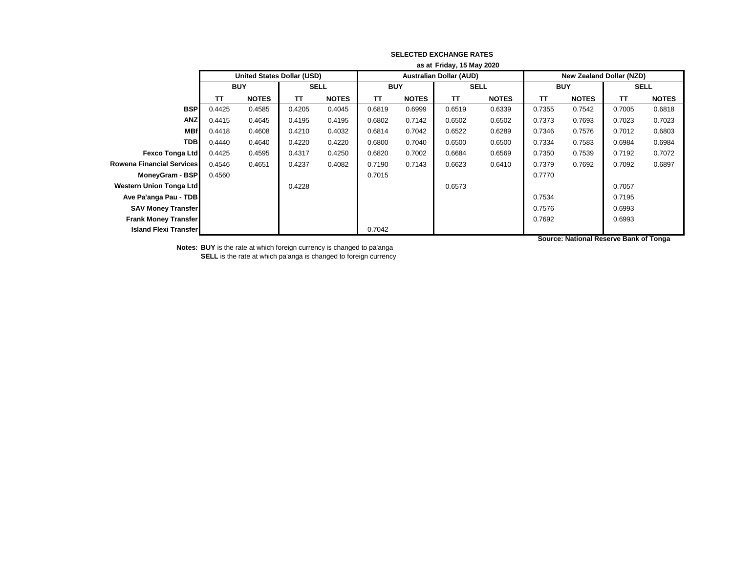|                                  | as at Friday, 15 May 2020 |                                   |             |              |            |              |                                |              |                                 |              |             |              |
|----------------------------------|---------------------------|-----------------------------------|-------------|--------------|------------|--------------|--------------------------------|--------------|---------------------------------|--------------|-------------|--------------|
|                                  |                           | <b>United States Dollar (USD)</b> |             |              |            |              | <b>Australian Dollar (AUD)</b> |              | <b>New Zealand Dollar (NZD)</b> |              |             |              |
|                                  | <b>BUY</b>                |                                   | <b>SELL</b> |              | <b>BUY</b> |              | <b>SELL</b>                    |              | <b>BUY</b>                      |              | <b>SELL</b> |              |
|                                  | TΤ                        | <b>NOTES</b>                      | TΤ          | <b>NOTES</b> | TT         | <b>NOTES</b> | TT.                            | <b>NOTES</b> | TT.                             | <b>NOTES</b> | <b>TT</b>   | <b>NOTES</b> |
| <b>BSP</b>                       | 0.4425                    | 0.4585                            | 0.4205      | 0.4045       | 0.6819     | 0.6999       | 0.6519                         | 0.6339       | 0.7355                          | 0.7542       | 0.7005      | 0.6818       |
| <b>ANZ</b>                       | 0.4415                    | 0.4645                            | 0.4195      | 0.4195       | 0.6802     | 0.7142       | 0.6502                         | 0.6502       | 0.7373                          | 0.7693       | 0.7023      | 0.7023       |
| <b>MBf</b>                       | 0.4418                    | 0.4608                            | 0.4210      | 0.4032       | 0.6814     | 0.7042       | 0.6522                         | 0.6289       | 0.7346                          | 0.7576       | 0.7012      | 0.6803       |
| <b>TDB</b>                       | 0.4440                    | 0.4640                            | 0.4220      | 0.4220       | 0.6800     | 0.7040       | 0.6500                         | 0.6500       | 0.7334                          | 0.7583       | 0.6984      | 0.6984       |
| <b>Fexco Tonga Ltd</b>           | 0.4425                    | 0.4595                            | 0.4317      | 0.4250       | 0.6820     | 0.7002       | 0.6684                         | 0.6569       | 0.7350                          | 0.7539       | 0.7192      | 0.7072       |
| <b>Rowena Financial Services</b> | 0.4546                    | 0.4651                            | 0.4237      | 0.4082       | 0.7190     | 0.7143       | 0.6623                         | 0.6410       | 0.7379                          | 0.7692       | 0.7092      | 0.6897       |
| <b>MoneyGram - BSP</b>           | 0.4560                    |                                   |             |              | 0.7015     |              |                                |              | 0.7770                          |              |             |              |
| <b>Western Union Tonga Ltd</b>   |                           |                                   | 0.4228      |              |            |              | 0.6573                         |              |                                 |              | 0.7057      |              |
| Ave Pa'anga Pau - TDB            |                           |                                   |             |              |            |              |                                |              | 0.7534                          |              | 0.7195      |              |
| <b>SAV Money Transfer</b>        |                           |                                   |             |              |            |              |                                |              | 0.7576                          |              | 0.6993      |              |
| <b>Frank Money Transfer</b>      |                           |                                   |             |              |            |              |                                |              | 0.7692                          |              | 0.6993      |              |
| <b>Island Flexi Transfer</b>     |                           |                                   |             |              | 0.7042     |              |                                |              |                                 |              |             |              |

**Source: National Reserve Bank of Tonga**

**Notes: BUY** is the rate at which foreign currency is changed to pa'anga **SELL** is the rate at which pa'anga is changed to foreign currency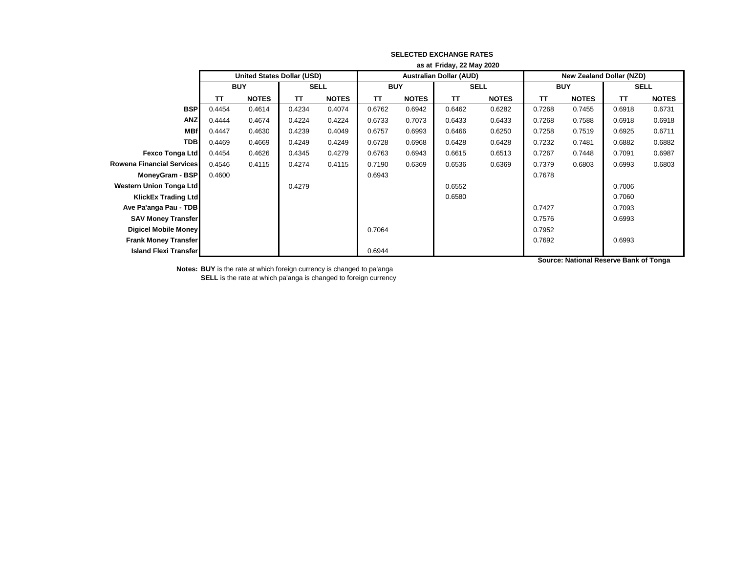|                                  | as at Friday, 22 May 2020 |                                   |             |              |            |              |                                |              |                                 |              |             |              |  |
|----------------------------------|---------------------------|-----------------------------------|-------------|--------------|------------|--------------|--------------------------------|--------------|---------------------------------|--------------|-------------|--------------|--|
|                                  |                           | <b>United States Dollar (USD)</b> |             |              |            |              | <b>Australian Dollar (AUD)</b> |              | <b>New Zealand Dollar (NZD)</b> |              |             |              |  |
|                                  | <b>BUY</b>                |                                   | <b>SELL</b> |              | <b>BUY</b> |              | <b>SELL</b>                    |              | <b>BUY</b>                      |              | <b>SELL</b> |              |  |
|                                  | TΤ                        | <b>NOTES</b>                      | TΤ          | <b>NOTES</b> | TT         | <b>NOTES</b> | <b>TT</b>                      | <b>NOTES</b> | TT.                             | <b>NOTES</b> | <b>TT</b>   | <b>NOTES</b> |  |
| <b>BSP</b>                       | 0.4454                    | 0.4614                            | 0.4234      | 0.4074       | 0.6762     | 0.6942       | 0.6462                         | 0.6282       | 0.7268                          | 0.7455       | 0.6918      | 0.6731       |  |
| <b>ANZ</b>                       | 0.4444                    | 0.4674                            | 0.4224      | 0.4224       | 0.6733     | 0.7073       | 0.6433                         | 0.6433       | 0.7268                          | 0.7588       | 0.6918      | 0.6918       |  |
| <b>MBf</b>                       | 0.4447                    | 0.4630                            | 0.4239      | 0.4049       | 0.6757     | 0.6993       | 0.6466                         | 0.6250       | 0.7258                          | 0.7519       | 0.6925      | 0.6711       |  |
| <b>TDB</b>                       | 0.4469                    | 0.4669                            | 0.4249      | 0.4249       | 0.6728     | 0.6968       | 0.6428                         | 0.6428       | 0.7232                          | 0.7481       | 0.6882      | 0.6882       |  |
| <b>Fexco Tonga Ltd</b>           | 0.4454                    | 0.4626                            | 0.4345      | 0.4279       | 0.6763     | 0.6943       | 0.6615                         | 0.6513       | 0.7267                          | 0.7448       | 0.7091      | 0.6987       |  |
| <b>Rowena Financial Services</b> | 0.4546                    | 0.4115                            | 0.4274      | 0.4115       | 0.7190     | 0.6369       | 0.6536                         | 0.6369       | 0.7379                          | 0.6803       | 0.6993      | 0.6803       |  |
| MoneyGram - BSP                  | 0.4600                    |                                   |             |              | 0.6943     |              |                                |              | 0.7678                          |              |             |              |  |
| <b>Western Union Tonga Ltd</b>   |                           |                                   | 0.4279      |              |            |              | 0.6552                         |              |                                 |              | 0.7006      |              |  |
| <b>KlickEx Trading Ltd</b>       |                           |                                   |             |              |            |              | 0.6580                         |              |                                 |              | 0.7060      |              |  |
| Ave Pa'anga Pau - TDB            |                           |                                   |             |              |            |              |                                |              | 0.7427                          |              | 0.7093      |              |  |
| <b>SAV Money Transfer</b>        |                           |                                   |             |              |            |              |                                |              | 0.7576                          |              | 0.6993      |              |  |
| <b>Digicel Mobile Money</b>      |                           |                                   |             |              | 0.7064     |              |                                |              | 0.7952                          |              |             |              |  |
| <b>Frank Money Transfer</b>      |                           |                                   |             |              |            |              |                                |              | 0.7692                          |              | 0.6993      |              |  |
| <b>Island Flexi Transfer</b>     |                           |                                   |             |              | 0.6944     |              |                                |              |                                 |              |             |              |  |

**Notes: BUY** is the rate at which foreign currency is changed to pa'anga **SELL** is the rate at which pa'anga is changed to foreign currency **Source: National Reserve Bank of Tonga**